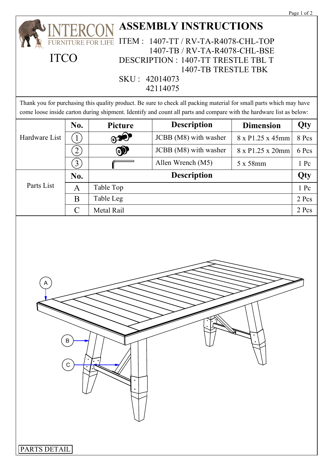|  | . . |  |
|--|-----|--|
|  |     |  |

|                              |                                                                          |              |                                                                                                                                                                                                                                            |                  | Page 1 of 2 |  |  |  |  |
|------------------------------|--------------------------------------------------------------------------|--------------|--------------------------------------------------------------------------------------------------------------------------------------------------------------------------------------------------------------------------------------------|------------------|-------------|--|--|--|--|
| <b>ASSEMBLY INSTRUCTIONS</b> |                                                                          |              |                                                                                                                                                                                                                                            |                  |             |  |  |  |  |
|                              | <b>ITEM:</b><br>1407-TT / RV-TA-R4078-CHL-TOP<br><b>RNITURE FOR LIFE</b> |              |                                                                                                                                                                                                                                            |                  |             |  |  |  |  |
| <b>ITCO</b>                  |                                                                          |              | 1407-TB / RV-TA-R4078-CHL-BSE                                                                                                                                                                                                              |                  |             |  |  |  |  |
|                              |                                                                          |              | DESCRIPTION : 1407-TT TRESTLE TBL T                                                                                                                                                                                                        |                  |             |  |  |  |  |
|                              |                                                                          |              | 1407-TB TRESTLE TBK                                                                                                                                                                                                                        |                  |             |  |  |  |  |
| SKU: 42014073<br>42114075    |                                                                          |              |                                                                                                                                                                                                                                            |                  |             |  |  |  |  |
|                              |                                                                          |              |                                                                                                                                                                                                                                            |                  |             |  |  |  |  |
|                              |                                                                          |              | Thank you for purchasing this quality product. Be sure to check all packing material for small parts which may have<br>come loose inside carton during shipment. Identify and count all parts and compare with the hardware list as below: |                  |             |  |  |  |  |
|                              | No.                                                                      | Picture      | <b>Description</b>                                                                                                                                                                                                                         | <b>Dimension</b> | Qty         |  |  |  |  |
| Hardware List                | $\cdot$ 1                                                                | $\mathbf{O}$ | JCBB (M8) with washer                                                                                                                                                                                                                      | 8 x P1.25 x 45mm | 8 Pcs       |  |  |  |  |
|                              | $\left(2\right)$                                                         | $\bullet$    | JCBB (M8) with washer                                                                                                                                                                                                                      | 8 x P1.25 x 20mm | 6 Pcs       |  |  |  |  |
|                              | $\left(3\right)$                                                         |              | Allen Wrench (M5)                                                                                                                                                                                                                          | 5 x 58mm         | 1 Pc        |  |  |  |  |
|                              | No.                                                                      |              | <b>Description</b>                                                                                                                                                                                                                         |                  | Qty         |  |  |  |  |
| Parts List                   | $\mathbf{A}$                                                             | Table Top    |                                                                                                                                                                                                                                            |                  | 1 Pc        |  |  |  |  |
|                              | B                                                                        | Table Leg    |                                                                                                                                                                                                                                            |                  | 2 Pcs       |  |  |  |  |
|                              | $\mathcal{C}$<br>Metal Rail                                              |              |                                                                                                                                                                                                                                            |                  |             |  |  |  |  |
| 2 Pcs<br>B                   |                                                                          |              |                                                                                                                                                                                                                                            |                  |             |  |  |  |  |
| PARTS DETAIL                 |                                                                          |              |                                                                                                                                                                                                                                            |                  |             |  |  |  |  |